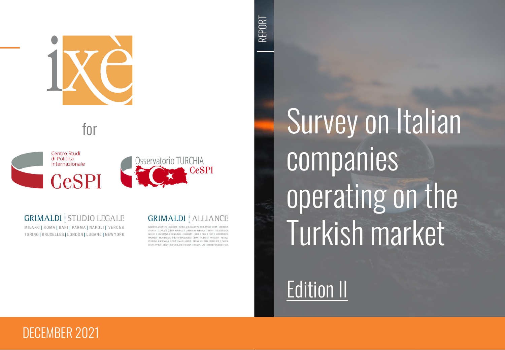

for



**GRIMALDI STUDIO LEGALE** 

MILANO | ROMA | BARI | PARMA | NAPOLI | VERONA TORINO | BRUXELLES | LONDON | LUGANO | NEW YORK **GRIMALDI ALLIANCE** 

ALBANIA LARGENTINA LBELGIUM LBOSNIA & HERZEGOVINA LBULGARIA LCHINA LCOLOM CROATIA I CYPRUS I CZECH REPURLIC I DOMINICAN REPURLIC I EGYPT I EL SALVADOR GREECE | GUATEMALA | HONDURAS | HUNGARY | INDIA | IRAO | ITALY | LUXEMBOURG MALAYSIA I MONTENEGRO I NORTH MACEDONIA I OMAN I PANAMA I PARAGUAY I POLAND PORTUGAL I ROMANIA I RUSSIA I SAUDI ARABIA I SERBIA I SLOVAK REPUBLIC I SLOVENIA SOUTH AFRICA I SPAIN I SWITZERLAND I TUNISIA I TURKEY I UAE I UNITED KINGDOM I USA

Survey on Italian companies operating on the Turkish market

Edition II

#### DECEMBER 2021

REPORT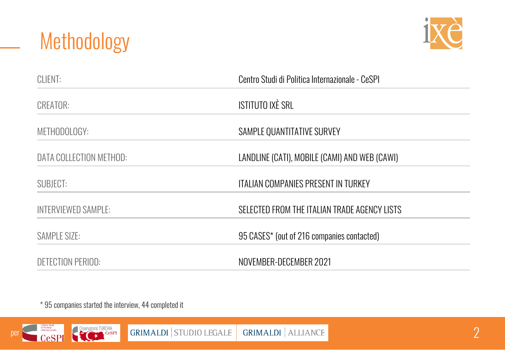



| CLIENT:                    | Centro Studi di Politica Internazionale - CeSPI |  |
|----------------------------|-------------------------------------------------|--|
| <b>CREATOR:</b>            | <b>ISTITUTO IXÈ SRL</b>                         |  |
| METHODOLOGY:               | SAMPLE QUANTITATIVE SURVEY                      |  |
| DATA COLLECTION METHOD:    | LANDLINE (CATI), MOBILE (CAMI) AND WEB (CAWI)   |  |
| SUBJECT:                   | <b>ITALIAN COMPANIES PRESENT IN TURKEY</b>      |  |
| <b>INTERVIEWED SAMPLE:</b> | SELECTED FROM THE ITALIAN TRADE AGENCY LISTS    |  |
| SAMPLE SIZE:               | 95 CASES* (out of 216 companies contacted)      |  |
| <b>DETECTION PERIOD:</b>   | NOVEMBER-DECEMBER 2021                          |  |

\* 95 companies started the interview, 44 completed it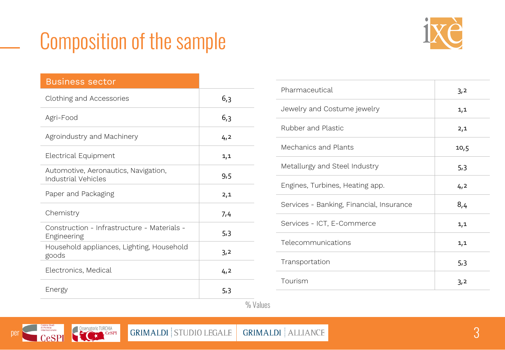### Composition of the sample



| <b>Business sector</b>                                             |     |
|--------------------------------------------------------------------|-----|
| Clothing and Accessories                                           | 6,3 |
| Agri-Food                                                          | 6,3 |
| Agroindustry and Machinery                                         | 4,2 |
| Electrical Equipment                                               | 1,1 |
| Automotive, Aeronautics, Navigation,<br><b>Industrial Vehicles</b> | 9,5 |
| Paper and Packaging                                                | 2,1 |
| Chemistry                                                          | 7,4 |
| Construction - Infrastructure - Materials -<br>Engineering         | 5,3 |
| Household appliances, Lighting, Household<br>goods                 | 3,2 |
| Electronics, Medical                                               | 4,2 |
| Energy                                                             | 5,3 |

| Pharmaceutical                           | 3,2  |
|------------------------------------------|------|
| Jewelry and Costume jewelry              | 1,1  |
| Rubber and Plastic                       | 2,1  |
| Mechanics and Plants                     | 10,5 |
| Metallurgy and Steel Industry            | 5,3  |
| Engines, Turbines, Heating app.          | 4,2  |
| Services - Banking, Financial, Insurance | 8,4  |
| Services - ICT, E-Commerce               | 1,1  |
| Telecommunications                       | 1,1  |
| Transportation                           | 5,3  |
| Tourism                                  | 3,2  |

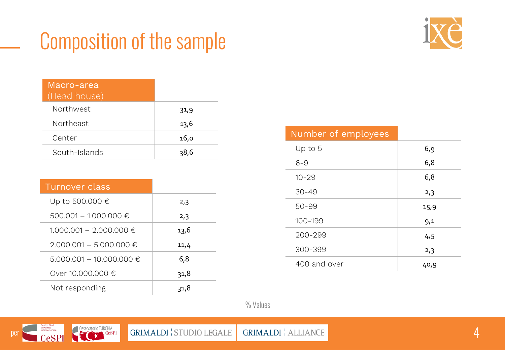## Composition of the sample



| Macro-area<br>(Head house) |      |
|----------------------------|------|
| Northwest                  | 31,9 |
| Northeast                  | 13,6 |
| Center                     | 16,0 |
| South-Islands              | 38,6 |

| Turnover class               |      |
|------------------------------|------|
| Up to 500.000 €              | 2,3  |
| 500.001 - 1.000.000 €        | 2,3  |
| $1.000.001 - 2.000.000 \in$  | 13,6 |
| $2.000.001 - 5.000.000 \in$  | 11,4 |
| $5.000.001 - 10.000.000 \in$ | 6,8  |
| Over 10.000.000 €            | 31,8 |
| Not responding               | 31,8 |

| Number of employees |      |
|---------------------|------|
| Up to $5$           | 6,9  |
| $6 - 9$             | 6,8  |
| $10 - 29$           | 6,8  |
| $30 - 49$           | 2,3  |
| 50-99               | 15,9 |
| 100-199             | 9,1  |
| 200-299             | 4,5  |
| 300-399             | 2,3  |
| 400 and over        | 40,9 |

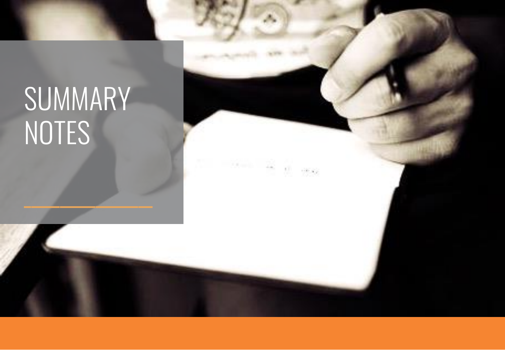# SUMMARY NOTES

 $\mathcal{L} = \mathcal{L}$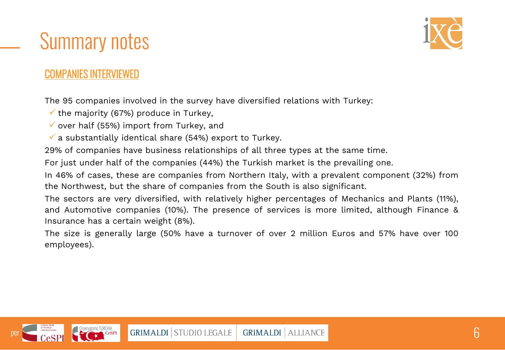

#### COMPANIES INTERVIEWED

The 95 companies involved in the survey have diversified relations with Turkey:

 $\checkmark$  the majority (67%) produce in Turkey,

- $\checkmark$  over half (55%) import from Turkey, and
- $\checkmark$  a substantially identical share (54%) export to Turkey.

29% of companies have business relationships of all three types at the same time.

For just under half of the companies (44%) the Turkish market is the prevailing one.

In 46% of cases, these are companies from Northern Italy, with a prevalent component (32%) from the Northwest, but the share of companies from the South is also significant.

The sectors are very diversified, with relatively higher percentages of Mechanics and Plants (11%), and Automotive companies (10%). The presence of services is more limited, although Finance & Insurance has a certain weight (8%).

The size is generally large (50% have a turnover of over 2 million Euros and 57% have over 100 employees).

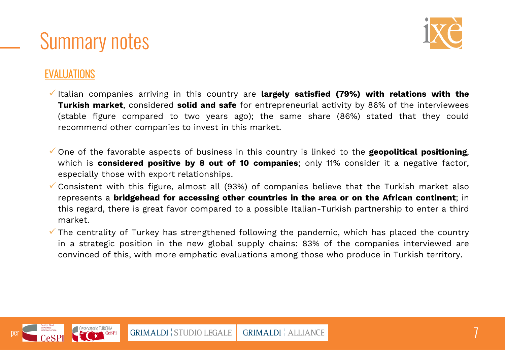



#### EVALUATIONS

- ✓ Italian companies arriving in this country are **largely satisfied (79%) with relations with the Turkish market**, considered **solid and safe** for entrepreneurial activity by 86% of the interviewees (stable figure compared to two years ago); the same share (86%) stated that they could recommend other companies to invest in this market.
- ✓ One of the favorable aspects of business in this country is linked to the **geopolitical positioning**, which is **considered positive by 8 out of 10 companies**; only 11% consider it a negative factor, especially those with export relationships.
- $\checkmark$  Consistent with this figure, almost all (93%) of companies believe that the Turkish market also represents a **bridgehead for accessing other countries in the area or on the African continent**; in this regard, there is great favor compared to a possible Italian-Turkish partnership to enter a third market.
- $\checkmark$  The centrality of Turkey has strengthened following the pandemic, which has placed the country in a strategic position in the new global supply chains: 83% of the companies interviewed are convinced of this, with more emphatic evaluations among those who produce in Turkish territory.

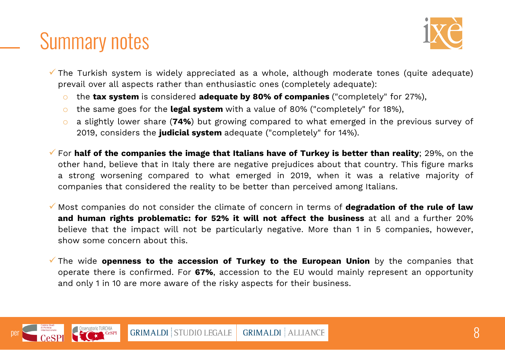

- $\checkmark$  The Turkish system is widely appreciated as a whole, although moderate tones (quite adequate) prevail over all aspects rather than enthusiastic ones (completely adequate):
	- o the **tax system** is considered **adequate by 80% of companies** ("completely" for 27%),
	- o the same goes for the **legal system** with a value of 80% ("completely" for 18%),
	- o a slightly lower share (**74%**) but growing compared to what emerged in the previous survey of 2019, considers the **judicial system** adequate ("completely" for 14%).
- ✓ For **half of the companies the image that Italians have of Turkey is better than reality**; 29%, on the other hand, believe that in Italy there are negative prejudices about that country. This figure marks a strong worsening compared to what emerged in 2019, when it was a relative majority of companies that considered the reality to be better than perceived among Italians.
- ✓ Most companies do not consider the climate of concern in terms of **degradation of the rule of law and human rights problematic: for 52% it will not affect the business** at all and a further 20% believe that the impact will not be particularly negative. More than 1 in 5 companies, however, show some concern about this.
- ✓ The wide **openness to the accession of Turkey to the European Union** by the companies that operate there is confirmed. For **67%**, accession to the EU would mainly represent an opportunity and only 1 in 10 are more aware of the risky aspects for their business.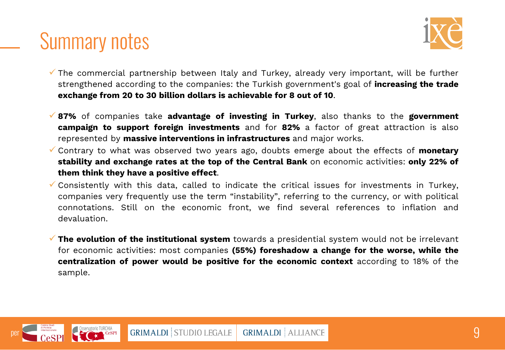

- $\checkmark$  The commercial partnership between Italy and Turkey, already very important, will be further strengthened according to the companies: the Turkish government's goal of **increasing the trade exchange from 20 to 30 billion dollars is achievable for 8 out of 10**.
- ✓ **87%** of companies take **advantage of investing in Turkey**, also thanks to the **government campaign to support foreign investments** and for **82%** a factor of great attraction is also represented by **massive interventions in infrastructures** and major works.
- ✓ Contrary to what was observed two years ago, doubts emerge about the effects of **monetary stability and exchange rates at the top of the Central Bank** on economic activities: **only 22% of them think they have a positive effect**.
- $\checkmark$  Consistently with this data, called to indicate the critical issues for investments in Turkey, companies very frequently use the term "instability", referring to the currency, or with political connotations. Still on the economic front, we find several references to inflation and devaluation.
- ✓ **The evolution of the institutional system** towards a presidential system would not be irrelevant for economic activities: most companies **(55%) foreshadow a change for the worse, while the centralization of power would be positive for the economic context** according to 18% of the sample.

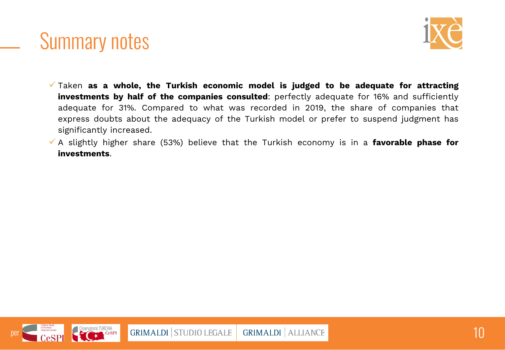

- ✓ Taken **as a whole, the Turkish economic model is judged to be adequate for attracting investments by half of the companies consulted**: perfectly adequate for 16% and sufficiently adequate for 31%. Compared to what was recorded in 2019, the share of companies that express doubts about the adequacy of the Turkish model or prefer to suspend judgment has significantly increased.
- ✓ A slightly higher share (53%) believe that the Turkish economy is in a **favorable phase for investments**.

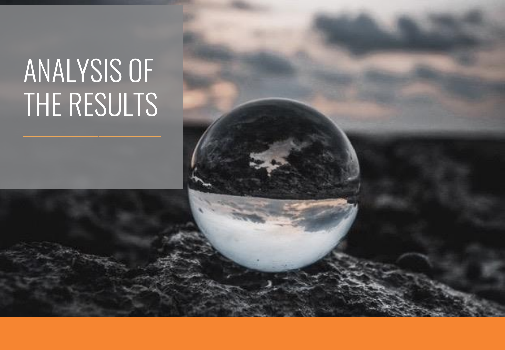# ANALYSIS OF THE RESULTS

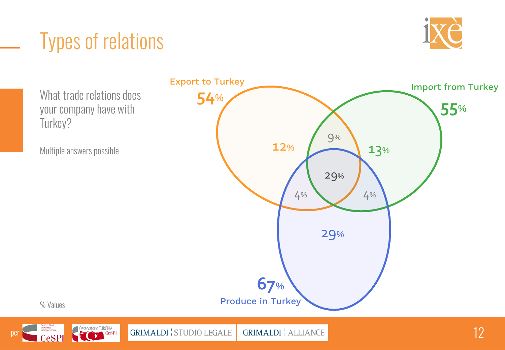### Types of relations



What trade relations does your company have with Turkey? Multiple answers possible % Values Export to Turkey Import from Turkey Produce in Turkey **54**% **55**% **67**% 9% 4% 4% 29%  $12\%$   $13\%$ 29%



Per Cespi Cespi Contraction de Turchila de Cesar de Casar de Casar de Casar de Casar de Casar de Casar de Casar de Casar de Casar de Casar de Casar de Casar de Casar de Casar de Casar de Casar de Casar de Casar de Casar de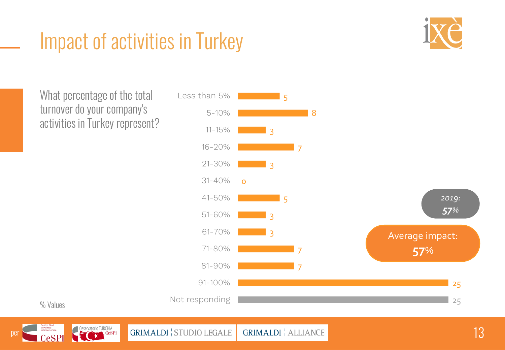#### Impact of activities in Turkey



What percentage of the total turnover do your company's activities in Turkey represent?







Per Constant Conservation TURCHIA CESPI GRIMALDI STUDIO LEGALE GRIMALDI ALLIANCE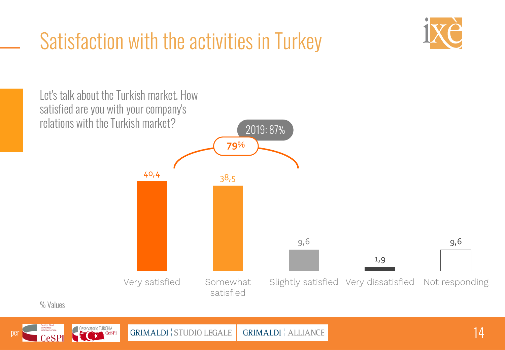# Satisfaction with the activities in Turkey





% Values



Per Cespi Cespi Coservatorio TURCHIA GRIMALDI STUDIO LEGALE GRIMALDI ALLIANCE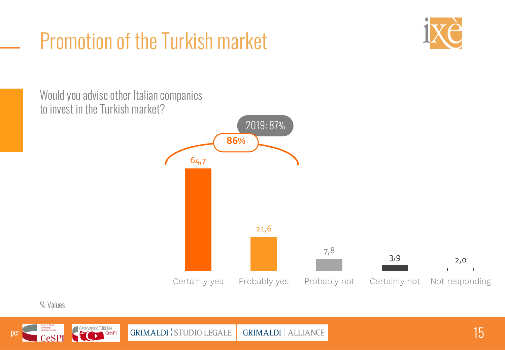# Promotion of the Turkish market



2019: 87% 64,7 21,6 7,8  $3,9$  2,0 Certainly yes Probably yes Probably not Certainly not Not responding **86**% Would you advise other Italian companies to invest in the Turkish market?

#### % Values



Per Constant Constant Constant Constant Constant Constant Constant Constant Constant Constant Constant Constant Constant Constant Constant Constant Constant Constant Constant Constant Constant Constant Constant Constant Co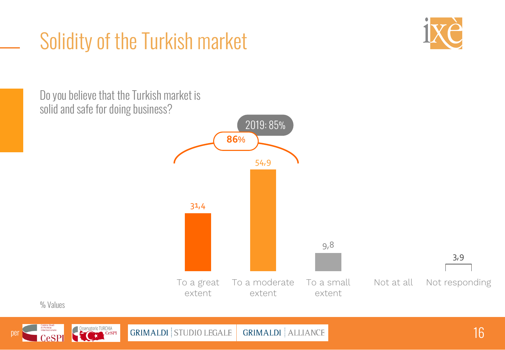### Solidity of the Turkish market



2019: 85% 31,4 54,9 9,8 3,9 To a great extent To a moderate extent To a small extent Not at all Not responding **86**% Do you believe that the Turkish market is solid and safe for doing business?

% Values



Per Cesar Cesar Cesar Cesar Cesar Cesar Cesar Cesar Cesar Cesar Cesar Cesar Cesar Cesar Cesar Cesar Cesar Cesar Cesar Cesar Cesar Cesar Cesar Cesar Cesar Cesar Cesar Cesar Cesar Cesar Cesar Cesar Cesar Cesar Cesar Cesar Ce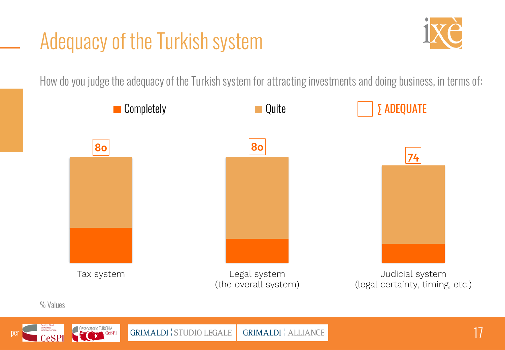#### Adequacy of the Turkish system



How do you judge the adequacy of the Turkish system for attracting investments and doing business, in terms of:

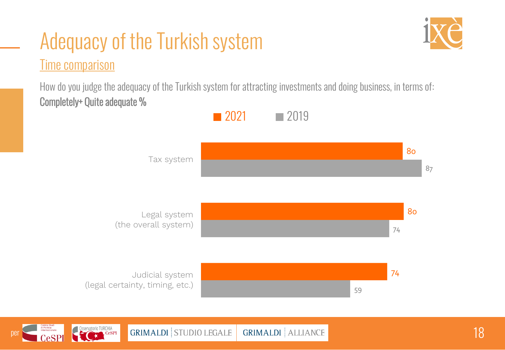#### Secondo te, quali di questi fattori incidono sulla fertilità? multiple and possible. Adequacy of the Turkish system Time comparison

How do you judge the adequacy of the Turkish system for attracting investments and doing business, in terms of: Completely+ Quite adequate %



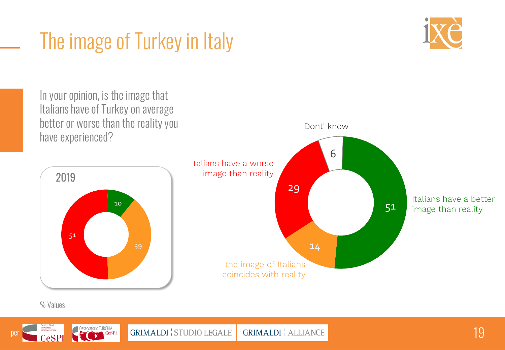### The image of Turkey in Italy





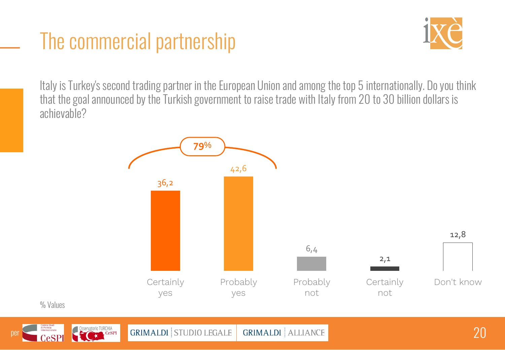#### The commercial partnership

% Values



Italy is Turkey's second trading partner in the European Union and among the top 5 internationally. Do you think that the goal announced by the Turkish government to raise trade with Italy from 20 to 30 billion dollars is achievable?

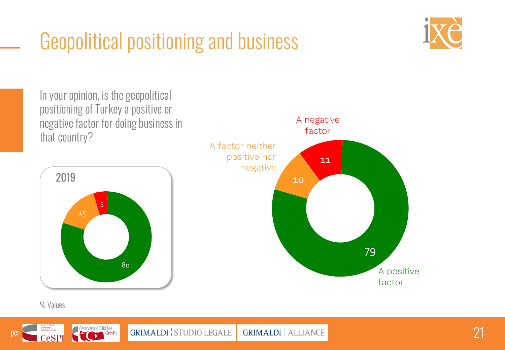# Geopolitical positioning and business



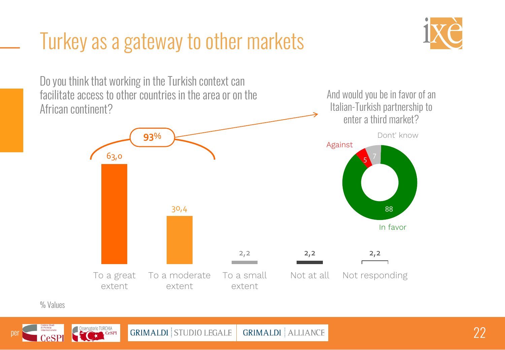#### Turkey as a gateway to other markets



63,0 30,4  $2,2$   $2,2$   $2,2$ To a great extent To a moderate extent To a small extent Not at all Not responding **93**% Do you think that working in the Turkish context can facilitate access to other countries in the area or on the African continent? And would you be in favor of an Italian-Turkish partnership to enter a third market? In favor 88 5 Against Dont' know

% Values



**PER 22 PER 22 CONSERVALDI GRIMALDI** STUDIO LEGALE **GRIMALDI** ALLIANCE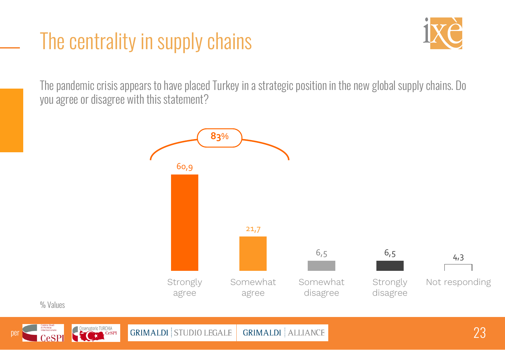### The centrality in supply chains



The pandemic crisis appears to have placed Turkey in a strategic position in the new global supply chains. Do you agree or disagree with this statement?



% Values



Per CeSPI CeSPI CONTROLLE GRIMALDI STUDIO LEGALE GRIMALDI ALLIANCE CONTROLLE CONTROLLE CONTROLLE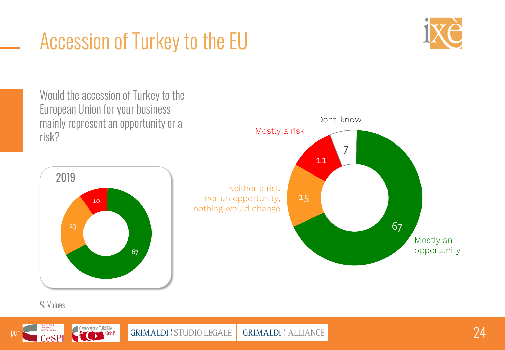# Accession of Turkey to the EU





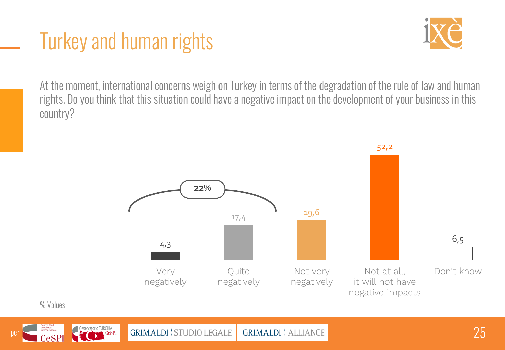#### Turkey and human rights



At the moment, international concerns weigh on Turkey in terms of the degradation of the rule of law and human rights. Do you think that this situation could have a negative impact on the development of your business in this country?





GRIMALDI STUDIO LEGALE GRIMALDI ALLIANCE 1999 1999 1999 1999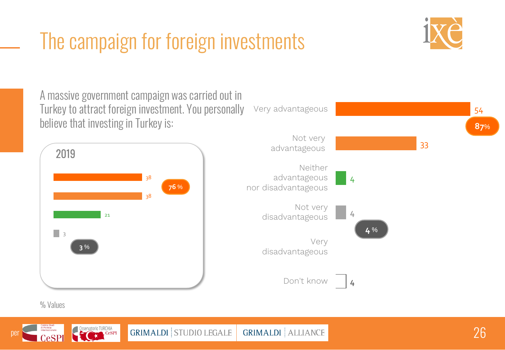#### The camnaion for foreion investmer Multiple The campaign for foreign investments



A massive government campaign was carried out in Turkey to attract foreign investment. You personally





% Values



GRIMALDI STUDIO LEGALE GRIMALDI ALLIANCE AND ANNO 1999 STUDIO LEGALE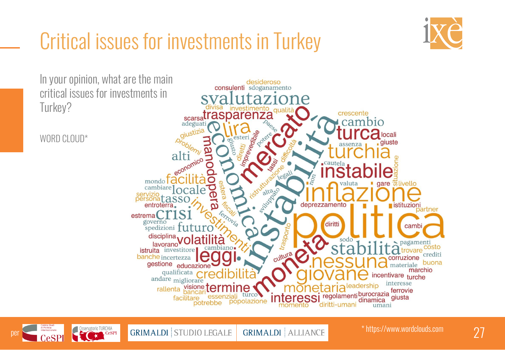### Critical issues for investments in Turkey



In your opinion, what are the main desideroso consulenti sdoganamento critical issues for investments in Turkey? **Example 11 All Sparse 11 All Sparse 11 ASPATENZA** crescente ambio Vegibile locali WORD CLOUD\* esteri giuste alti LT1<sub>nomico</sub> legali mondo gare **Execute** istuttura to cambiare ocale servizio personatassc deprezzamento stituzioni entroterra partner estrema governo diritti spedizioni †11†11 cambi traspor disciplina, sodo agamenti lavorano istruita investitore crediti banche incertezza corruzione gestione <sub>educazione</sub> buona materiale marchio qualificata incentivare turche andare <sub>migliorare</sub> interesse rallenta visione ter ıne ferrovie regolamenti burocrazia giusta facilitare dinamica popolazione diritti-umani umani

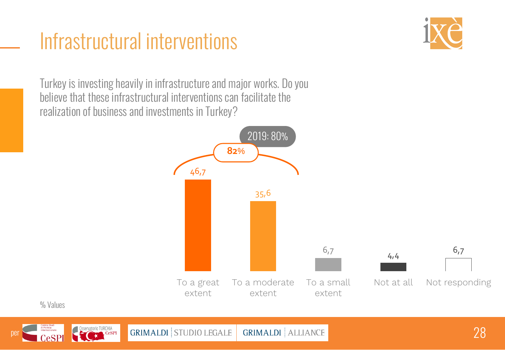#### Infrastructural interventions



Turkey is investing heavily in infrastructure and major works. Do you believe that these infrastructural interventions can facilitate the realization of business and investments in Turkey?



% Values



GRIMALDI STUDIO LEGALE GRIMALDI ALLIANCE ANNO 1999 ANNO 28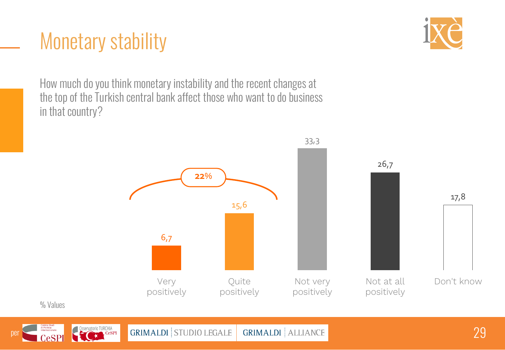#### Monetary stability



How much do you think monetary instability and the recent changes at the top of the Turkish central bank affect those who want to do business in that country?





Per Cespi Cespi Contract of Discreta Cespi Cesar (Cespi Cesar Cesar Cesar Cesar Cesar Cesar Cesar Cesar Cesar Cesar Cesar Cesar Cesar Cesar Cesar Cesar Cesar Cesar Cesar Cesar Cesar Cesar Cesar Cesar Cesar Cesar Cesar Cesa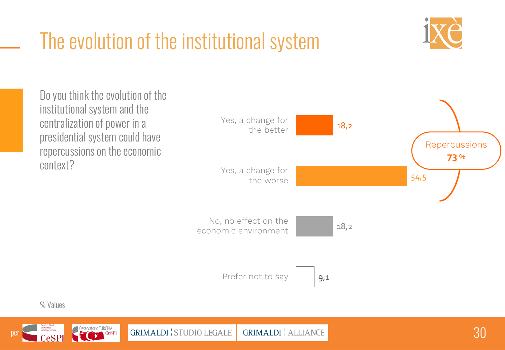# The evolution of the institutional system





Personale Conservation TURCHIA CORSERVATION OF STUDIO LEGALE GRIMALDI ALLIANCE NELL'ANDENE SERVATION DESCRIPTION OF STUDIO LEGALE GRIMALDI ALLIANCE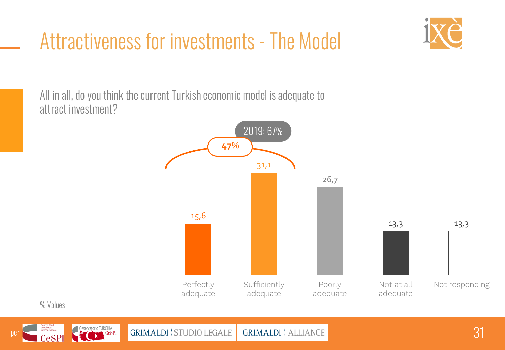### Attractiveness for investments - The Model

All in all, do you think the current Turkish economic model is adequate to attract investment?





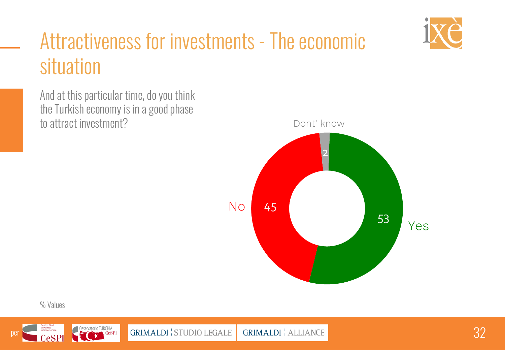

#### Attractiveness for investments - The economic Multiple answers possible. situation

And at this particular time, do you think the Turkish economy is in a good phase to attract investment?